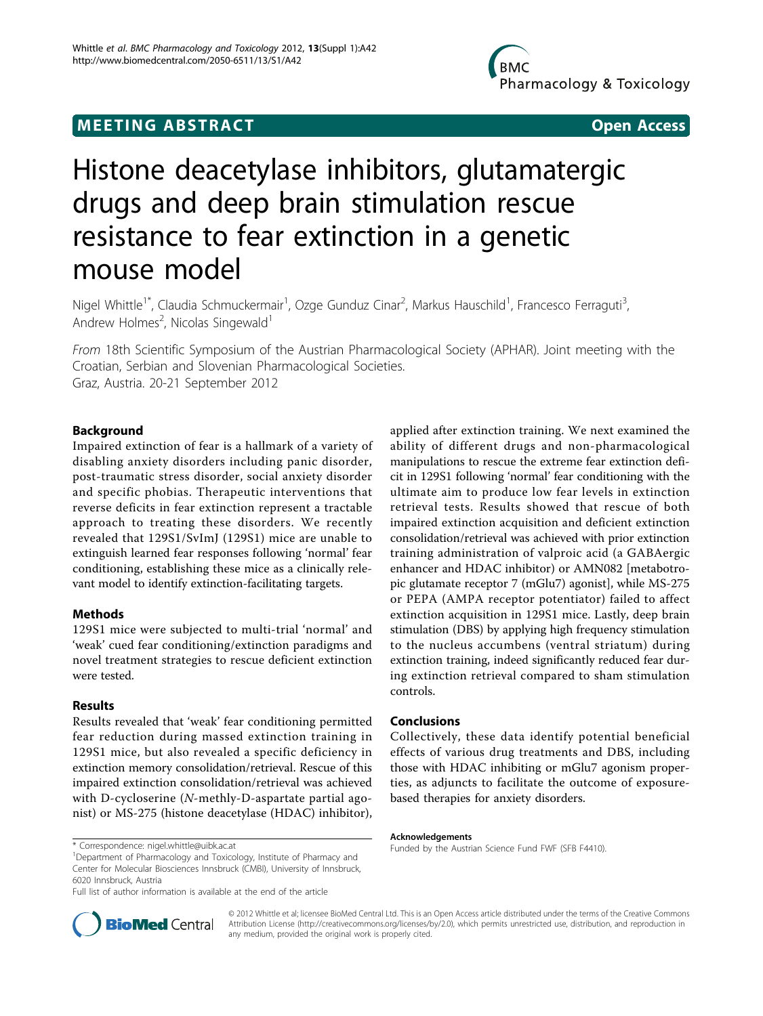# **MEETING ABSTRACT CONSUMING ABSTRACT**

# Histone deacetylase inhibitors, glutamatergic drugs and deep brain stimulation rescue resistance to fear extinction in a genetic mouse model

Nigel Whittle<sup>1\*</sup>, Claudia Schmuckermair<sup>1</sup>, Ozge Gunduz Cinar<sup>2</sup>, Markus Hauschild<sup>1</sup>, Francesco Ferraguti<sup>3</sup> , Andrew Holmes<sup>2</sup>, Nicolas Singewald<sup>1</sup>

From 18th Scientific Symposium of the Austrian Pharmacological Society (APHAR). Joint meeting with the Croatian, Serbian and Slovenian Pharmacological Societies. Graz, Austria. 20-21 September 2012

# Background

Impaired extinction of fear is a hallmark of a variety of disabling anxiety disorders including panic disorder, post-traumatic stress disorder, social anxiety disorder and specific phobias. Therapeutic interventions that reverse deficits in fear extinction represent a tractable approach to treating these disorders. We recently revealed that 129S1/SvImJ (129S1) mice are unable to extinguish learned fear responses following 'normal' fear conditioning, establishing these mice as a clinically relevant model to identify extinction-facilitating targets.

### Methods

129S1 mice were subjected to multi-trial 'normal' and 'weak' cued fear conditioning/extinction paradigms and novel treatment strategies to rescue deficient extinction were tested.

# Results

Results revealed that 'weak' fear conditioning permitted fear reduction during massed extinction training in 129S1 mice, but also revealed a specific deficiency in extinction memory consolidation/retrieval. Rescue of this impaired extinction consolidation/retrieval was achieved with D-cycloserine (N-methly-D-aspartate partial agonist) or MS-275 (histone deacetylase (HDAC) inhibitor),

applied after extinction training. We next examined the ability of different drugs and non-pharmacological manipulations to rescue the extreme fear extinction deficit in 129S1 following 'normal' fear conditioning with the ultimate aim to produce low fear levels in extinction retrieval tests. Results showed that rescue of both impaired extinction acquisition and deficient extinction consolidation/retrieval was achieved with prior extinction training administration of valproic acid (a GABAergic enhancer and HDAC inhibitor) or AMN082 [metabotropic glutamate receptor 7 (mGlu7) agonist], while MS-275 or PEPA (AMPA receptor potentiator) failed to affect extinction acquisition in 129S1 mice. Lastly, deep brain stimulation (DBS) by applying high frequency stimulation to the nucleus accumbens (ventral striatum) during extinction training, indeed significantly reduced fear during extinction retrieval compared to sham stimulation controls.

# Conclusions

Collectively, these data identify potential beneficial effects of various drug treatments and DBS, including those with HDAC inhibiting or mGlu7 agonism properties, as adjuncts to facilitate the outcome of exposurebased therapies for anxiety disorders.

#### Acknowledgements



© 2012 Whittle et al; licensee BioMed Central Ltd. This is an Open Access article distributed under the terms of the Creative Commons Attribution License [\(http://creativecommons.org/licenses/by/2.0](http://creativecommons.org/licenses/by/2.0)), which permits unrestricted use, distribution, and reproduction in any medium, provided the original work is properly cited.

<sup>&</sup>lt;sup>1</sup>Department of Pharmacology and Toxicology, Institute of Pharmacy and Center for Molecular Biosciences Innsbruck (CMBI), University of Innsbruck, 6020 Innsbruck, Austria

Full list of author information is available at the end of the article

Funded by the Austrian Science Fund FWF (SFB F4410). \* Correspondence: [nigel.whittle@uibk.ac.at](mailto:nigel.whittle@uibk.ac.at)